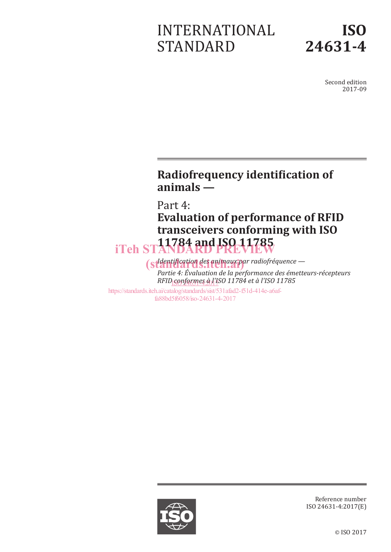# INTERNATIONAL STANDARD



Second edition 2017-09

# **Radiofrequency identification of animals —**

Part 4:

**Evaluation of performance of RFID transceivers conforming with ISO 11784 and ISO 11785** iTeh STANDARD PREVIEW

*Identification des animaux par radiofréquence —* (standards.iteh.ai)

*Partie 4: Évaluation de la performance des émetteurs-récepteurs RFID conformes à l'ISO 11784 et à l'ISO 11785* ISO 24631-4:2017

https://standards.iteh.ai/catalog/standards/sist/531afad2-f51d-414e-a6affa88bd5f6058/iso-24631-4-2017



Reference number ISO 24631-4:2017(E)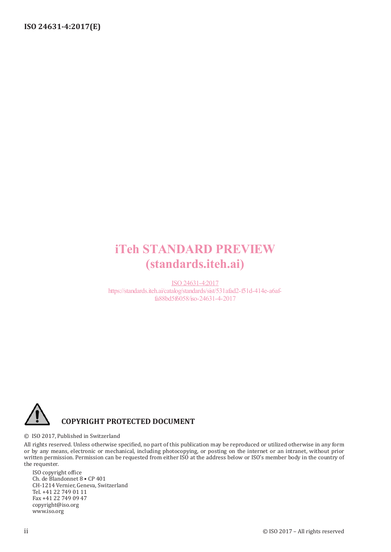# iTeh STANDARD PREVIEW (standards.iteh.ai)

ISO 24631-4:2017 https://standards.iteh.ai/catalog/standards/sist/531afad2-f51d-414e-a6affa88bd5f6058/iso-24631-4-2017



#### © ISO 2017, Published in Switzerland

All rights reserved. Unless otherwise specified, no part of this publication may be reproduced or utilized otherwise in any form or by any means, electronic or mechanical, including photocopying, or posting on the internet or an intranet, without prior written permission. Permission can be requested from either ISO at the address below or ISO's member body in the country of the requester.

ISO copyright office Ch. de Blandonnet 8 • CP 401 CH-1214 Vernier, Geneva, Switzerland Tel. +41 22 749 01 11 Fax +41 22 749 09 47 copyright@iso.org www.iso.org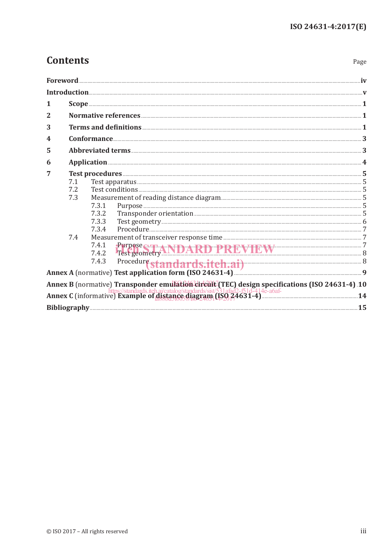Page

# **Contents**

| 1              |     |                                                                                                                                                                                                                                      |     |
|----------------|-----|--------------------------------------------------------------------------------------------------------------------------------------------------------------------------------------------------------------------------------------|-----|
| $\overline{2}$ |     |                                                                                                                                                                                                                                      |     |
| 3              |     |                                                                                                                                                                                                                                      |     |
| 4              |     |                                                                                                                                                                                                                                      |     |
| 5              |     |                                                                                                                                                                                                                                      |     |
| 6              |     |                                                                                                                                                                                                                                      |     |
| 7              |     |                                                                                                                                                                                                                                      |     |
|                | 7.1 |                                                                                                                                                                                                                                      |     |
|                | 7.2 |                                                                                                                                                                                                                                      |     |
|                | 7.3 |                                                                                                                                                                                                                                      |     |
|                |     | 7.3.1                                                                                                                                                                                                                                |     |
|                |     | 7.3.2                                                                                                                                                                                                                                |     |
|                |     | 7.3.3                                                                                                                                                                                                                                |     |
|                |     | 7.3.4                                                                                                                                                                                                                                |     |
|                | 7.4 |                                                                                                                                                                                                                                      |     |
|                |     | Purpose TANDARD PREVIEW 7<br>7.4.1                                                                                                                                                                                                   |     |
|                |     | 7.4.2                                                                                                                                                                                                                                |     |
|                |     | Procedure standards.itch.ai) 3<br>7.4.3                                                                                                                                                                                              |     |
|                |     |                                                                                                                                                                                                                                      |     |
|                |     |                                                                                                                                                                                                                                      |     |
|                |     | Annex B (normative) Transponder emulation directiva (TEC) design specifications (ISO 24631-4).10<br>https://standards.iteh.ai/catalog/standards/sist/531afad2-f51d-414e-a6af-<br>Annex C (informative) Example of dissursed (dispara |     |
|                |     |                                                                                                                                                                                                                                      | .15 |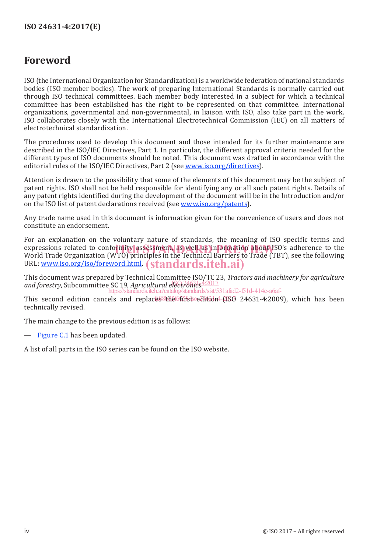# **Foreword**

ISO (the International Organization for Standardization) is a worldwide federation of national standards bodies (ISO member bodies). The work of preparing International Standards is normally carried out through ISO technical committees. Each member body interested in a subject for which a technical committee has been established has the right to be represented on that committee. International organizations, governmental and non-governmental, in liaison with ISO, also take part in the work. ISO collaborates closely with the International Electrotechnical Commission (IEC) on all matters of electrotechnical standardization.

The procedures used to develop this document and those intended for its further maintenance are described in the ISO/IEC Directives, Part 1. In particular, the different approval criteria needed for the different types of ISO documents should be noted. This document was drafted in accordance with the editorial rules of the ISO/IEC Directives, Part 2 (see www.iso.org/directives).

Attention is drawn to the possibility that some of the elements of this document may be the subject of patent rights. ISO shall not be held responsible for identifying any or all such patent rights. Details of any patent rights identified during the development of the document will be in the Introduction and/or on the ISO list of patent declarations received (see www.iso.org/patents).

Any trade name used in this document is information given for the convenience of users and does not constitute an endorsement.

For an explanation on the voluntary nature of standards, the meaning of ISO specific terms and expressions related to conformity assessment, as well as information about ISO's adherence to the<br>World Trade Organization (WTO) principles in the Technical Barriers to Trade (TBT), see the following World Trade Organization (WTO) principles in the Technical Barriers to Trade (TBT), see the following URL: <u>www.iso.org/iso/foreword.html</u>. (standards.iteh.ai)

This document was prepared by Technical Committee ISO/TC 23, *Tractors and machinery for agriculture*  and forestry, Subcommittee SC 19, *Agricultural electronics*. https://standards.iteh.ai/catalog/standards/sist/531afad2-f51d-414e-a6af-

This second edition cancels and replaces the first edition (ISO 24631-4:2009), which has been technically revised.

The main change to the previous edition is as follows:

— Figure C.1 has been updated.

A list of all parts in the ISO series can be found on the ISO website.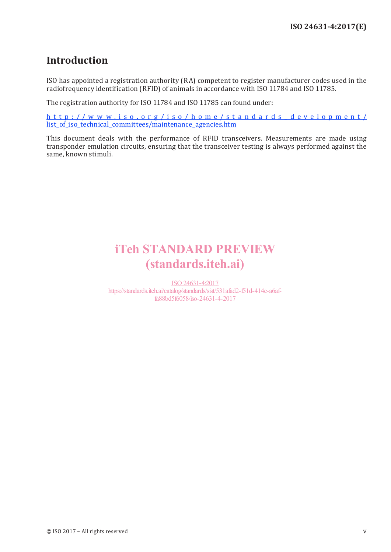# **Introduction**

ISO has appointed a registration authority (RA) competent to register manufacturer codes used in the radiofrequency identification (RFID) of animals in accordance with ISO 11784 and ISO 11785.

The registration authority for ISO 11784 and ISO 11785 can found under:

http://www.iso.org/iso/home/standards\_development/ list\_of\_iso\_technical\_committees/maintenance\_agencies.htm

This document deals with the performance of RFID transceivers. Measurements are made using transponder emulation circuits, ensuring that the transceiver testing is always performed against the same, known stimuli.

# iTeh STANDARD PREVIEW (standards.iteh.ai)

ISO 24631-4:2017 https://standards.iteh.ai/catalog/standards/sist/531afad2-f51d-414e-a6affa88bd5f6058/iso-24631-4-2017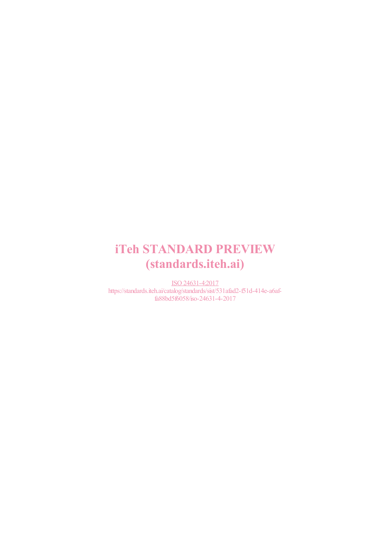# iTeh STANDARD PREVIEW (standards.iteh.ai)

ISO 24631-4:2017 https://standards.iteh.ai/catalog/standards/sist/531afad2-f51d-414e-a6affa88bd5f6058/iso-24631-4-2017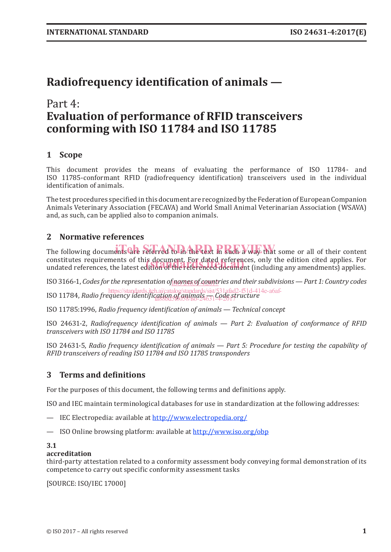# **Radiofrequency identification of animals —**

# Part 4: **Evaluation of performance of RFID transceivers conforming with ISO 11784 and ISO 11785**

## **1 Scope**

This document provides the means of evaluating the performance of ISO 11784- and ISO 11785-conformant RFID (radiofrequency identification) transceivers used in the individual identification of animals.

The test procedures specified in this document are recognized by the Federation of European Companion Animals Veterinary Association (FECAVA) and World Small Animal Veterinarian Association (WSAVA) and, as such, can be applied also to companion animals.

## **2 Normative references**

The following documents are referred to in the text in such a way that some or all of their content constitutes requirements of this document. For dated references, only the edition cited applies. For constitutes requirements of this document. For dated references, only the edition cited applies. Foi<br>undated references, the latest edition of the referenced document (including any amendments) applies.

ISO 3166-1, *Codes for the representation of names of countries and their subdivisions — Part 1: Country codes* ISO 24631-4:2017 ISO 11784, *Radio frequency identification of animals — Code structure* https://standards.iteh.ai/catalog/standards/sist/531afad2-f51d-414e-a6afcauton.org/daimaist0-24631-4-2017

ISO 11785:1996, *Radio frequency identification of animals — Technical concept*

ISO 24631-2, *Radiofrequency identification of animals — Part 2: Evaluation of conformance of RFID transceivers with ISO 11784 and ISO 11785*

ISO 24631-5, *Radio frequency identification of animals — Part 5: Procedure for testing the capability of RFID transceivers of reading ISO 11784 and ISO 11785 transponders*

## **3 Terms and definitions**

For the purposes of this document, the following terms and definitions apply.

ISO and IEC maintain terminological databases for use in standardization at the following addresses:

- IEC Electropedia: available at http://www.electropedia.org/
- ISO Online browsing platform: available at http://www.iso.org/obp

#### **3.1**

#### **accreditation**

third-party attestation related to a conformity assessment body conveying formal demonstration of its competence to carry out specific conformity assessment tasks

[SOURCE: ISO/IEC 17000]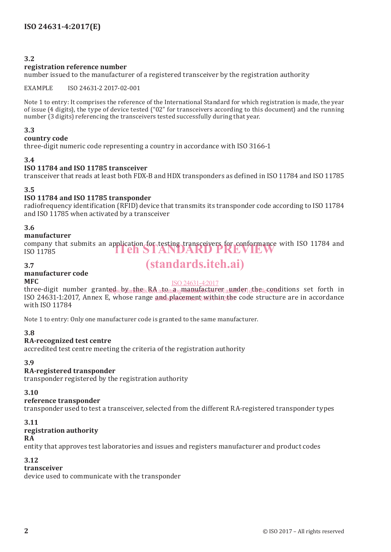#### **3.2**

#### **registration reference number**

number issued to the manufacturer of a registered transceiver by the registration authority

EXAMPLE ISO 24631-2 2017-02-001

Note 1 to entry: It comprises the reference of the International Standard for which registration is made, the year of issue (4 digits), the type of device tested ("02" for transceivers according to this document) and the running number (3 digits) referencing the transceivers tested successfully during that year.

#### **3.3**

#### **country code**

three-digit numeric code representing a country in accordance with ISO 3166-1

#### **3.4**

#### **ISO 11784 and ISO 11785 transceiver**

transceiver that reads at least both FDX-B and HDX transponders as defined in ISO 11784 and ISO 11785

#### **3.5**

#### **ISO 11784 and ISO 11785 transponder**

radiofrequency identification (RFID) device that transmits its transponder code according to ISO 11784 and ISO 11785 when activated by a transceiver

#### **3.6**

#### **manufacturer**

company that submits an application for testing transceivers for conformance with ISO 11784 and ISO 11785 iTeh STANDARD PREVIEW

# (standards.iteh.ai)

## **manufacturer code**

#### **MFC**

**3.7**

#### ISO 24631-4:2017

three-digit number granted s.by antheis RA at Catalog manufacturen at independing the conditions set forth in ISO 24631-1:2017, Annex E, whose range and placement within the code structure are in accordance with ISO 11784

Note 1 to entry: Only one manufacturer code is granted to the same manufacturer.

#### **3.8**

#### **RA-recognized test centre**

accredited test centre meeting the criteria of the registration authority

#### **3.9**

#### **RA-registered transponder**

transponder registered by the registration authority

#### **3.10**

#### **reference transponder**

transponder used to test a transceiver, selected from the different RA-registered transponder types

#### **3.11**

#### **registration authority**

#### **RA**

entity that approves test laboratories and issues and registers manufacturer and product codes

#### **3.12**

#### **transceiver**

device used to communicate with the transponder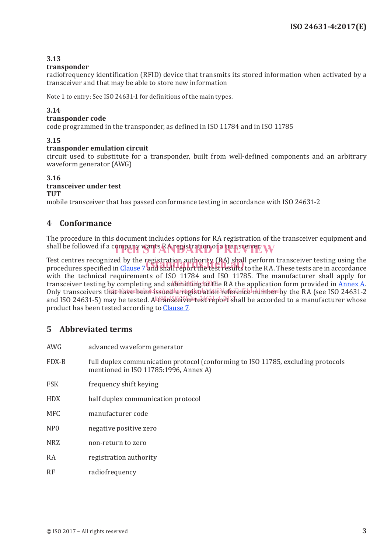### **3.13**

#### **transponder**

radiofrequency identification (RFID) device that transmits its stored information when activated by a transceiver and that may be able to store new information

Note 1 to entry: See ISO 24631-1 for definitions of the main types.

### **3.14**

#### **transponder code**

code programmed in the transponder, as defined in ISO 11784 and in ISO 11785

#### **3.15**

#### **transponder emulation circuit**

circuit used to substitute for a transponder, built from well-defined components and an arbitrary waveform generator (AWG)

#### **3.16 transceiver under test**

#### **TUT**

mobile transceiver that has passed conformance testing in accordance with ISO 24631-2

## **4 Conformance**

The procedure in this document includes options for RA registration of the transceiver equipment and shall be followed if a company wants RA registration of a transceiver. W

Test centres recognized by the registration authority (RA) shall perform transceiver testing using the Test centres recognized by the registration authority (RA) shall perform transceiver testing using the<br>procedures specified in <u>Clause 7</u> and shall report the test results to the RA. These tests are in accordance with the technical requirements of ISO 11784 and ISO 11785. The manufacturer shall apply for transceiver testing by completing and submitting to the RA the application form provided in Annex A. Only transceivers that have been issued a registration reference number by the RA (see ISO 24631-2 and ISO 24631-5) may be tested. A transceiver test report shall be accorded to a manufacturer whose product has been tested according to Clause 7.

## **5 Abbreviated terms**

| AWG             | advanced waveform generator                                                                                               |  |
|-----------------|---------------------------------------------------------------------------------------------------------------------------|--|
| FDX-B           | full duplex communication protocol (conforming to ISO 11785, excluding protocols<br>mentioned in ISO 11785:1996, Annex A) |  |
| FSK             | frequency shift keying                                                                                                    |  |
| <b>HDX</b>      | half duplex communication protocol                                                                                        |  |
| MFC             | manufacturer code                                                                                                         |  |
| NP <sub>0</sub> | negative positive zero                                                                                                    |  |
| <b>NRZ</b>      | non-return to zero                                                                                                        |  |
| RA              | registration authority                                                                                                    |  |
| RF              | radiofrequency                                                                                                            |  |
|                 |                                                                                                                           |  |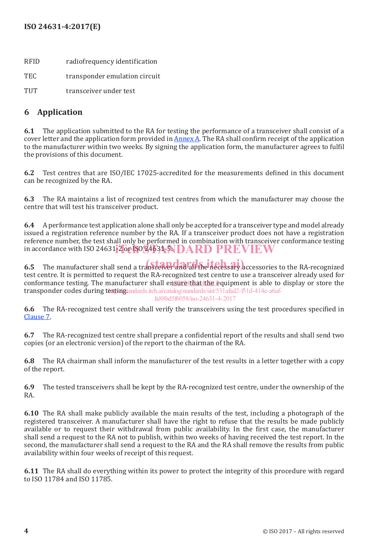- RFID radiofrequency identification
- TEC transponder emulation circuit
- TUT transceiver under test

## **6 Application**

**6.1** The application submitted to the RA for testing the performance of a transceiver shall consist of a cover letter and the application form provided in Annex A. The RA shall confirm receipt of the application to the manufacturer within two weeks. By signing the application form, the manufacturer agrees to fulfil the provisions of this document.

**6.2** Test centres that are ISO/IEC 17025-accredited for the measurements defined in this document can be recognized by the RA.

**6.3** The RA maintains a list of recognized test centres from which the manufacturer may choose the centre that will test his transceiver product.

**6.4** A performance test application alone shall only be accepted for a transceiver type and model already issued a registration reference number by the RA. If a transceiver product does not have a registration reference number, the test shall only be performed in combination with transceiver conformance testing in accordance with ISO 24631-2 or ISO 24634-5NDARD PREVIEW

**6.5** The manufacturer shall send a transceiver and all the necessary accessories to the RA-recognized test centre. It is permitted to request the RA-recognized test centre to use a transceiver already used for conformance testing. The manufacturer shall ensure that the equipment is able to display or store the transponder codes during testing tandards.iteh.ai/catalog/standards/sist/531afad2-f51d-414e-a6affa88bd5f6058/iso-24631-4-2017

**6.6** The RA-recognized test centre shall verify the transceivers using the test procedures specified in Clause 7.

**6.7** The RA-recognized test centre shall prepare a confidential report of the results and shall send two copies (or an electronic version) of the report to the chairman of the RA.

**6.8** The RA chairman shall inform the manufacturer of the test results in a letter together with a copy of the report.

**6.9** The tested transceivers shall be kept by the RA-recognized test centre, under the ownership of the RA.

**6.10** The RA shall make publicly available the main results of the test, including a photograph of the registered transceiver. A manufacturer shall have the right to refuse that the results be made publicly available or to request their withdrawal from public availability. In the first case, the manufacturer shall send a request to the RA not to publish, within two weeks of having received the test report. In the second, the manufacturer shall send a request to the RA and the RA shall remove the results from public availability within four weeks of receipt of this request.

**6.11** The RA shall do everything within its power to protect the integrity of this procedure with regard to ISO 11784 and ISO 11785.